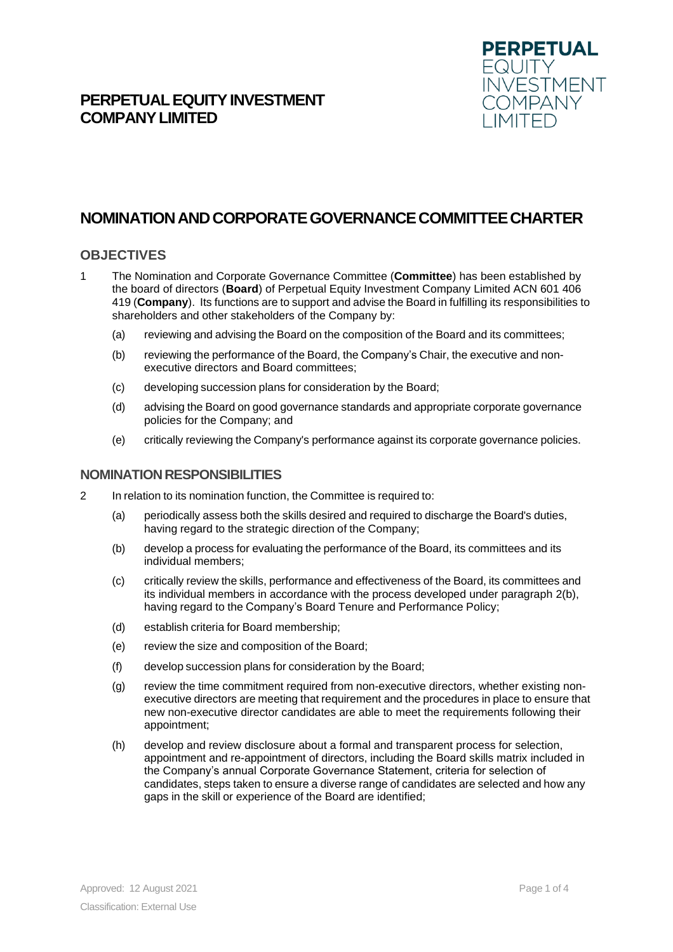## **PERPETUAL EQUITY INVESTMENT COMPANYLIMITED**



# **NOMINATIONANDCORPORATEGOVERNANCECOMMITTEECHARTER**

## **OBJECTIVES**

- 1 The Nomination and Corporate Governance Committee (**Committee**) has been established by the board of directors (**Board**) of Perpetual Equity Investment Company Limited ACN 601 406 419 (**Company**). Its functions are to support and advise the Board in fulfilling its responsibilities to shareholders and other stakeholders of the Company by:
	- (a) reviewing and advising the Board on the composition of the Board and its committees;
	- (b) reviewing the performance of the Board, the Company's Chair, the executive and nonexecutive directors and Board committees;
	- (c) developing succession plans for consideration by the Board;
	- (d) advising the Board on good governance standards and appropriate corporate governance policies for the Company; and
	- (e) critically reviewing the Company's performance against its corporate governance policies.

#### **NOMINATION RESPONSIBILITIES**

- 2 In relation to its nomination function, the Committee is required to:
	- (a) periodically assess both the skills desired and required to discharge the Board's duties, having regard to the strategic direction of the Company;
	- (b) develop a process for evaluating the performance of the Board, its committees and its individual members;
	- (c) critically review the skills, performance and effectiveness of the Board, its committees and its individual members in accordance with the process developed under paragraph 2(b), having regard to the Company's Board Tenure and Performance Policy;
	- (d) establish criteria for Board membership;
	- (e) review the size and composition of the Board;
	- (f) develop succession plans for consideration by the Board;
	- (g) review the time commitment required from non-executive directors, whether existing nonexecutive directors are meeting that requirement and the procedures in place to ensure that new non-executive director candidates are able to meet the requirements following their appointment;
	- (h) develop and review disclosure about a formal and transparent process for selection, appointment and re-appointment of directors, including the Board skills matrix included in the Company's annual Corporate Governance Statement, criteria for selection of candidates, steps taken to ensure a diverse range of candidates are selected and how any gaps in the skill or experience of the Board are identified;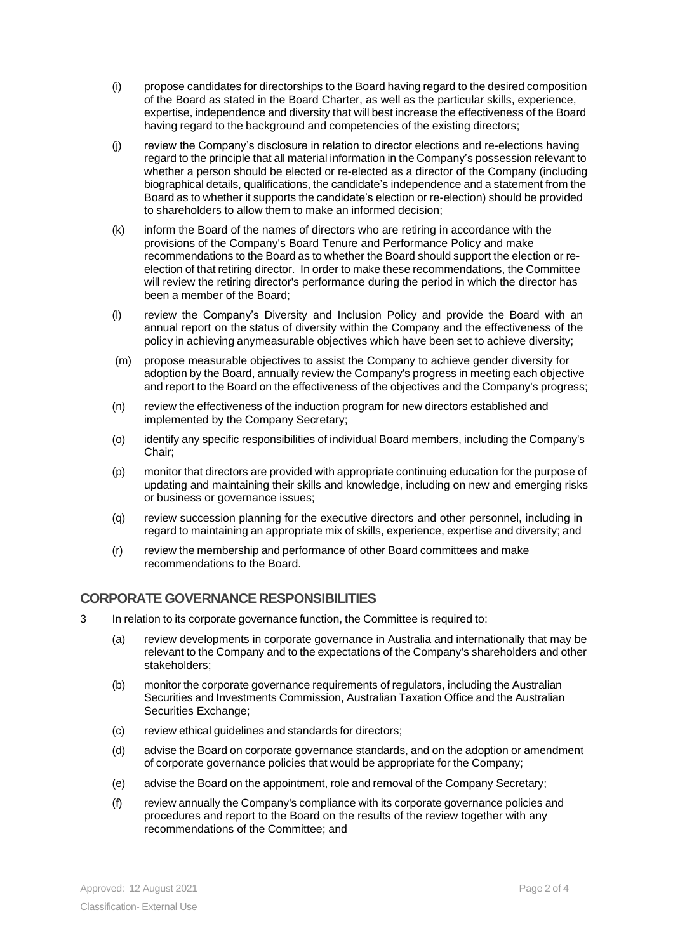- (i) propose candidates for directorships to the Board having regard to the desired composition of the Board as stated in the Board Charter, as well as the particular skills, experience, expertise, independence and diversity that will best increase the effectiveness of the Board having regard to the background and competencies of the existing directors;
- (j) review the Company's disclosure in relation to director elections and re-elections having regard to the principle that all material information in the Company's possession relevant to whether a person should be elected or re-elected as a director of the Company (including biographical details, qualifications, the candidate's independence and a statement from the Board as to whether it supports the candidate's election or re-election) should be provided to shareholders to allow them to make an informed decision;
- (k) inform the Board of the names of directors who are retiring in accordance with the provisions of the Company's Board Tenure and Performance Policy and make recommendations to the Board as to whether the Board should support the election or reelection of that retiring director. In order to make these recommendations, the Committee will review the retiring director's performance during the period in which the director has been a member of the Board;
- (l) review the Company's Diversity and Inclusion Policy and provide the Board with an annual report on the status of diversity within the Company and the effectiveness of the policy in achieving anymeasurable objectives which have been set to achieve diversity;
- (m) propose measurable objectives to assist the Company to achieve gender diversity for adoption by the Board, annually review the Company's progress in meeting each objective and report to the Board on the effectiveness of the objectives and the Company's progress;
- (n) review the effectiveness of the induction program for new directors established and implemented by the Company Secretary;
- (o) identify any specific responsibilities of individual Board members, including the Company's Chair;
- (p) monitor that directors are provided with appropriate continuing education for the purpose of updating and maintaining their skills and knowledge, including on new and emerging risks or business or governance issues;
- (q) review succession planning for the executive directors and other personnel, including in regard to maintaining an appropriate mix of skills, experience, expertise and diversity; and
- (r) review the membership and performance of other Board committees and make recommendations to the Board.

## **CORPORATE GOVERNANCE RESPONSIBILITIES**

- 3 In relation to its corporate governance function, the Committee is required to:
	- (a) review developments in corporate governance in Australia and internationally that may be relevant to the Company and to the expectations of the Company's shareholders and other stakeholders;
	- (b) monitor the corporate governance requirements of regulators, including the Australian Securities and Investments Commission, Australian Taxation Office and the Australian Securities Exchange:
	- (c) review ethical guidelines and standards for directors;
	- (d) advise the Board on corporate governance standards, and on the adoption or amendment of corporate governance policies that would be appropriate for the Company;
	- (e) advise the Board on the appointment, role and removal of the Company Secretary;
	- (f) review annually the Company's compliance with its corporate governance policies and procedures and report to the Board on the results of the review together with any recommendations of the Committee; and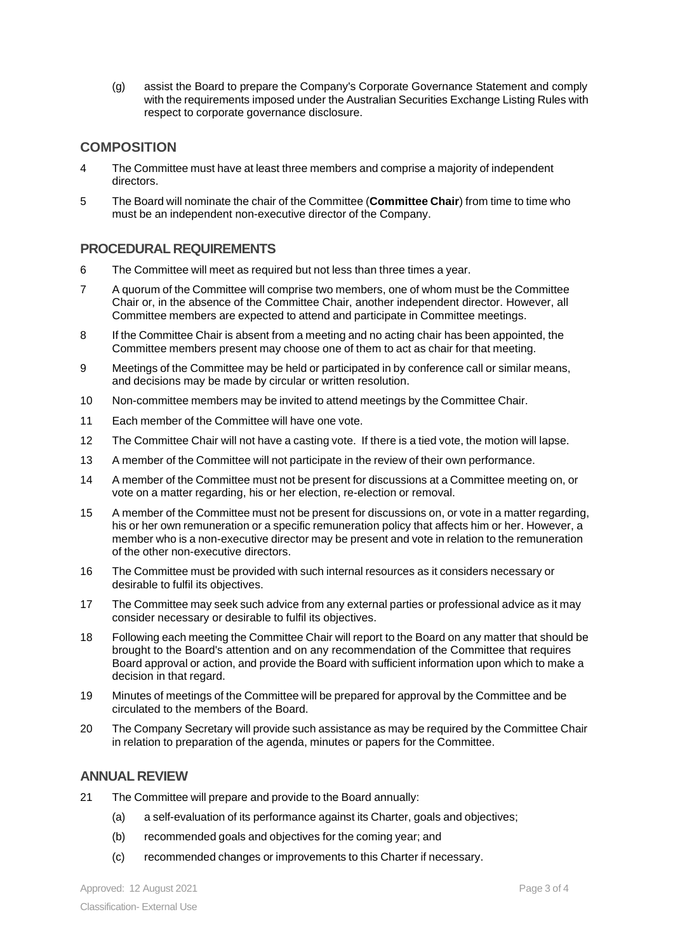(g) assist the Board to prepare the Company's Corporate Governance Statement and comply with the requirements imposed under the Australian Securities Exchange Listing Rules with respect to corporate governance disclosure.

## **COMPOSITION**

- 4 The Committee must have at least three members and comprise a majority of independent directors.
- 5 The Board will nominate the chair of the Committee (**Committee Chair**) from time to time who must be an independent non-executive director of the Company.

#### **PROCEDURAL REQUIREMENTS**

- 6 The Committee will meet as required but not less than three times a year.
- 7 A quorum of the Committee will comprise two members, one of whom must be the Committee Chair or, in the absence of the Committee Chair, another independent director. However, all Committee members are expected to attend and participate in Committee meetings.
- 8 If the Committee Chair is absent from a meeting and no acting chair has been appointed, the Committee members present may choose one of them to act as chair for that meeting.
- 9 Meetings of the Committee may be held or participated in by conference call or similar means, and decisions may be made by circular or written resolution.
- 10 Non-committee members may be invited to attend meetings by the Committee Chair.
- 11 Each member of the Committee will have one vote.
- 12 The Committee Chair will not have a casting vote. If there is a tied vote, the motion will lapse.
- 13 A member of the Committee will not participate in the review of their own performance.
- 14 A member of the Committee must not be present for discussions at a Committee meeting on, or vote on a matter regarding, his or her election, re-election or removal.
- 15 A member of the Committee must not be present for discussions on, or vote in a matter regarding, his or her own remuneration or a specific remuneration policy that affects him or her. However, a member who is a non-executive director may be present and vote in relation to the remuneration of the other non-executive directors.
- 16 The Committee must be provided with such internal resources as it considers necessary or desirable to fulfil its objectives.
- 17 The Committee may seek such advice from any external parties or professional advice as it may consider necessary or desirable to fulfil its objectives.
- 18 Following each meeting the Committee Chair will report to the Board on any matter that should be brought to the Board's attention and on any recommendation of the Committee that requires Board approval or action, and provide the Board with sufficient information upon which to make a decision in that regard.
- 19 Minutes of meetings of the Committee will be prepared for approval by the Committee and be circulated to the members of the Board.
- 20 The Company Secretary will provide such assistance as may be required by the Committee Chair in relation to preparation of the agenda, minutes or papers for the Committee.

#### **ANNUAL REVIEW**

- 21 The Committee will prepare and provide to the Board annually:
	- (a) a self-evaluation of its performance against its Charter, goals and objectives;
	- (b) recommended goals and objectives for the coming year; and
	- (c) recommended changes or improvements to this Charter if necessary.